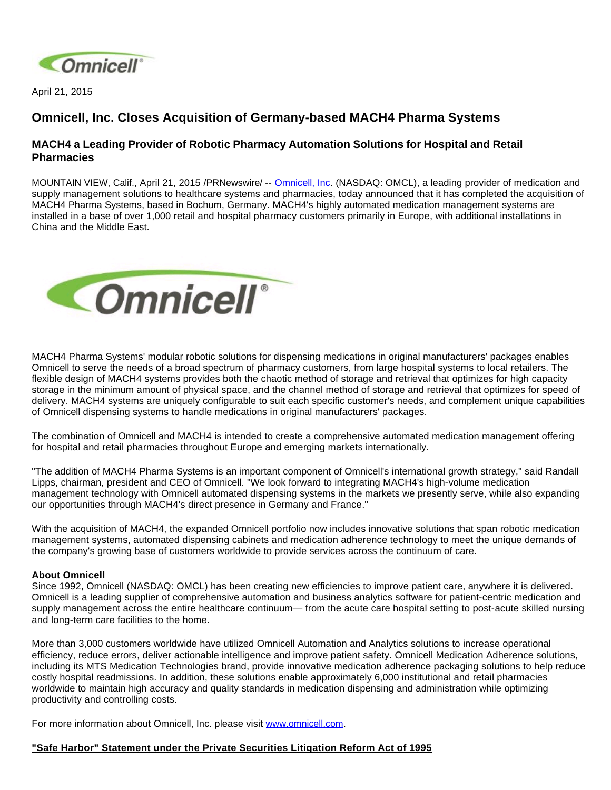

April 21, 2015

## **Omnicell, Inc. Closes Acquisition of Germany-based MACH4 Pharma Systems**

## **MACH4 a Leading Provider of Robotic Pharmacy Automation Solutions for Hospital and Retail Pharmacies**

MOUNTAIN VIEW, Calif., April 21, 2015 /PRNewswire/ -- [Omnicell, Inc.](http://www.omnicell.com/) (NASDAQ: OMCL), a leading provider of medication and supply management solutions to healthcare systems and pharmacies, today announced that it has completed the acquisition of MACH4 Pharma Systems, based in Bochum, Germany. MACH4's highly automated medication management systems are installed in a base of over 1,000 retail and hospital pharmacy customers primarily in Europe, with additional installations in China and the Middle East.



MACH4 Pharma Systems' modular robotic solutions for dispensing medications in original manufacturers' packages enables Omnicell to serve the needs of a broad spectrum of pharmacy customers, from large hospital systems to local retailers. The flexible design of MACH4 systems provides both the chaotic method of storage and retrieval that optimizes for high capacity storage in the minimum amount of physical space, and the channel method of storage and retrieval that optimizes for speed of delivery. MACH4 systems are uniquely configurable to suit each specific customer's needs, and complement unique capabilities of Omnicell dispensing systems to handle medications in original manufacturers' packages.

The combination of Omnicell and MACH4 is intended to create a comprehensive automated medication management offering for hospital and retail pharmacies throughout Europe and emerging markets internationally.

"The addition of MACH4 Pharma Systems is an important component of Omnicell's international growth strategy," said Randall Lipps, chairman, president and CEO of Omnicell. "We look forward to integrating MACH4's high-volume medication management technology with Omnicell automated dispensing systems in the markets we presently serve, while also expanding our opportunities through MACH4's direct presence in Germany and France."

With the acquisition of MACH4, the expanded Omnicell portfolio now includes innovative solutions that span robotic medication management systems, automated dispensing cabinets and medication adherence technology to meet the unique demands of the company's growing base of customers worldwide to provide services across the continuum of care.

## **About Omnicell**

Since 1992, Omnicell (NASDAQ: OMCL) has been creating new efficiencies to improve patient care, anywhere it is delivered. Omnicell is a leading supplier of comprehensive automation and business analytics software for patient-centric medication and supply management across the entire healthcare continuum— from the acute care hospital setting to post-acute skilled nursing and long-term care facilities to the home.

More than 3,000 customers worldwide have utilized Omnicell Automation and Analytics solutions to increase operational efficiency, reduce errors, deliver actionable intelligence and improve patient safety. Omnicell Medication Adherence solutions, including its MTS Medication Technologies brand, provide innovative medication adherence packaging solutions to help reduce costly hospital readmissions. In addition, these solutions enable approximately 6,000 institutional and retail pharmacies worldwide to maintain high accuracy and quality standards in medication dispensing and administration while optimizing productivity and controlling costs.

For more information about Omnicell, Inc. please visit [www.omnicell.com](http://www.omnicell.com/).

## **"Safe Harbor" Statement under the Private Securities Litigation Reform Act of 1995**